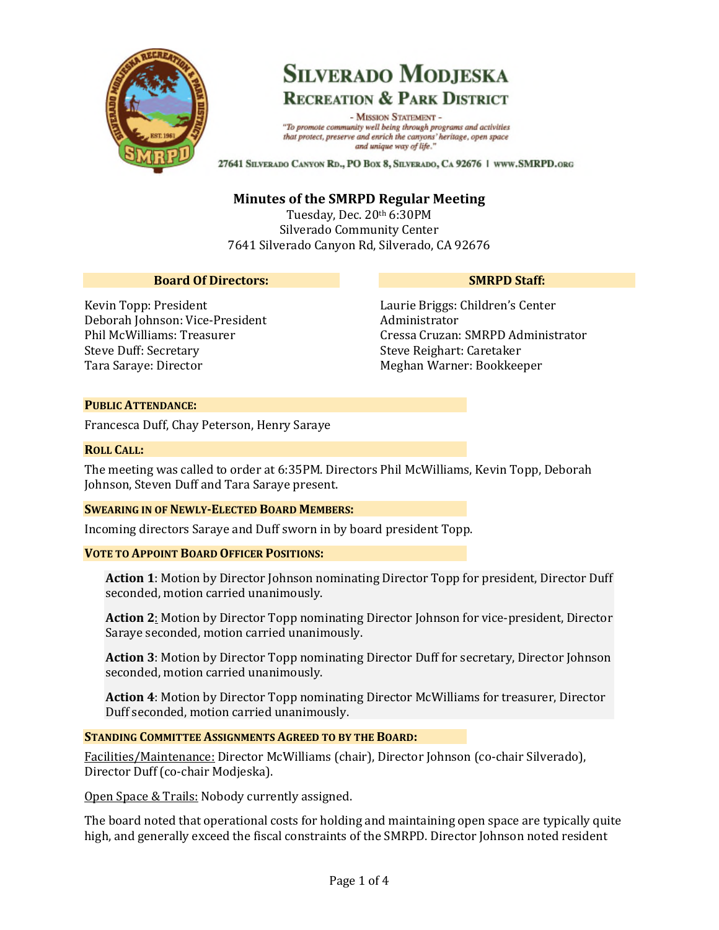

# **SILVERADO MODJESKA RECREATION & PARK DISTRICT**

- MISSION STATEMENT -"To promote community well being through programs and activities that protect, preserve and enrich the canyons' heritage, open space and unique way of life."

27641 SILVERADO CANYON RD., PO BOX 8, SILVERADO, CA 92676 | WWW.SMRPD.ORG

# **Minutes of the SMRPD Regular Meeting**

Tuesday, Dec. 20th 6:30PM Silverado Community Center 7641 Silverado Canyon Rd, Silverado, CA 92676

#### **Board Of Directors:**

### **SMRPD Staff:**

Kevin Topp: President Deborah Johnson: Vice-President Phil McWilliams: Treasurer Steve Duff: Secretary Tara Saraye: Director

Laurie Briggs: Children's Center Administrator Cressa Cruzan: SMRPD Administrator Steve Reighart: Caretaker Meghan Warner: Bookkeeper

### **PUBLIC ATTENDANCE:**

Francesca Duff, Chay Peterson, Henry Saraye

#### **ROLL CALL:**

The meeting was called to order at 6:35PM. Directors Phil McWilliams, Kevin Topp, Deborah Johnson, Steven Duff and Tara Saraye present.

#### **SWEARING IN OF NEWLY-ELECTED BOARD MEMBERS:**

Incoming directors Saraye and Duff sworn in by board president Topp.

#### **VOTE TO APPOINT BOARD OFFICER POSITIONS:**

**Action 1**: Motion by Director Johnson nominating Director Topp for president, Director Duff seconded, motion carried unanimously.

**Action 2**: Motion by Director Topp nominating Director Johnson for vice-president, Director Saraye seconded, motion carried unanimously.

**Action 3**: Motion by Director Topp nominating Director Duff for secretary, Director Johnson seconded, motion carried unanimously.

**Action 4**: Motion by Director Topp nominating Director McWilliams for treasurer, Director Duff seconded, motion carried unanimously.

#### **STANDING COMMITTEE ASSIGNMENTS AGREED TO BY THE BOARD:**

Facilities/Maintenance: Director McWilliams (chair), Director Johnson (co-chair Silverado), Director Duff (co-chair Modjeska).

Open Space & Trails: Nobody currently assigned.

The board noted that operational costs for holding and maintaining open space are typically quite high, and generally exceed the fiscal constraints of the SMRPD. Director Johnson noted resident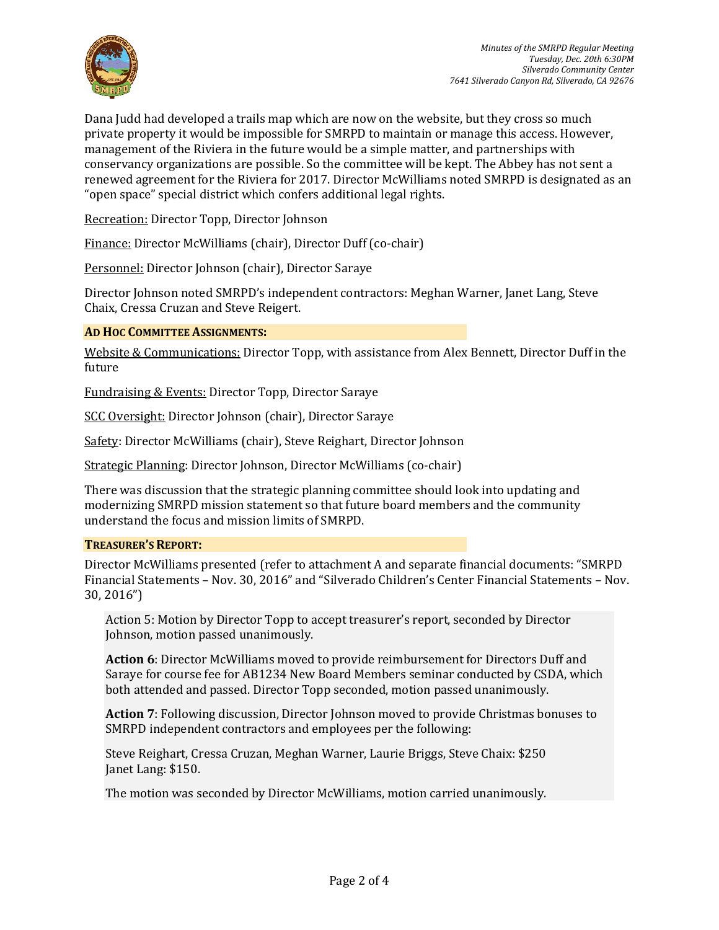

Dana Judd had developed a trails map which are now on the website, but they cross so much private property it would be impossible for SMRPD to maintain or manage this access. However, management of the Riviera in the future would be a simple matter, and partnerships with conservancy organizations are possible. So the committee will be kept. The Abbey has not sent a renewed agreement for the Riviera for 2017. Director McWilliams noted SMRPD is designated as an "open space" special district which confers additional legal rights.

Recreation: Director Topp, Director Johnson

Finance: Director McWilliams (chair), Director Duff (co-chair)

Personnel: Director Johnson (chair), Director Saraye

Director Johnson noted SMRPD's independent contractors: Meghan Warner, Janet Lang, Steve Chaix, Cressa Cruzan and Steve Reigert.

#### **AD HOC COMMITTEE ASSIGNMENTS:**

Website & Communications: Director Topp, with assistance from Alex Bennett, Director Duff in the future

Fundraising & Events: Director Topp, Director Saraye

SCC Oversight: Director Johnson (chair), Director Saraye

Safety: Director McWilliams (chair), Steve Reighart, Director Johnson

Strategic Planning: Director Johnson, Director McWilliams (co-chair)

There was discussion that the strategic planning committee should look into updating and modernizing SMRPD mission statement so that future board members and the community understand the focus and mission limits of SMRPD.

#### **TREASURER'S REPORT:**

Director McWilliams presented (refer to attachment A and separate financial documents: "SMRPD Financial Statements – Nov. 30, 2016" and "Silverado Children's Center Financial Statements – Nov. 30, 2016")

Action 5: Motion by Director Topp to accept treasurer's report, seconded by Director Johnson, motion passed unanimously.

**Action 6**: Director McWilliams moved to provide reimbursement for Directors Duff and Saraye for course fee for AB1234 New Board Members seminar conducted by CSDA, which both attended and passed. Director Topp seconded, motion passed unanimously.

**Action 7**: Following discussion, Director Johnson moved to provide Christmas bonuses to SMRPD independent contractors and employees per the following:

Steve Reighart, Cressa Cruzan, Meghan Warner, Laurie Briggs, Steve Chaix: \$250 Janet Lang: \$150.

The motion was seconded by Director McWilliams, motion carried unanimously.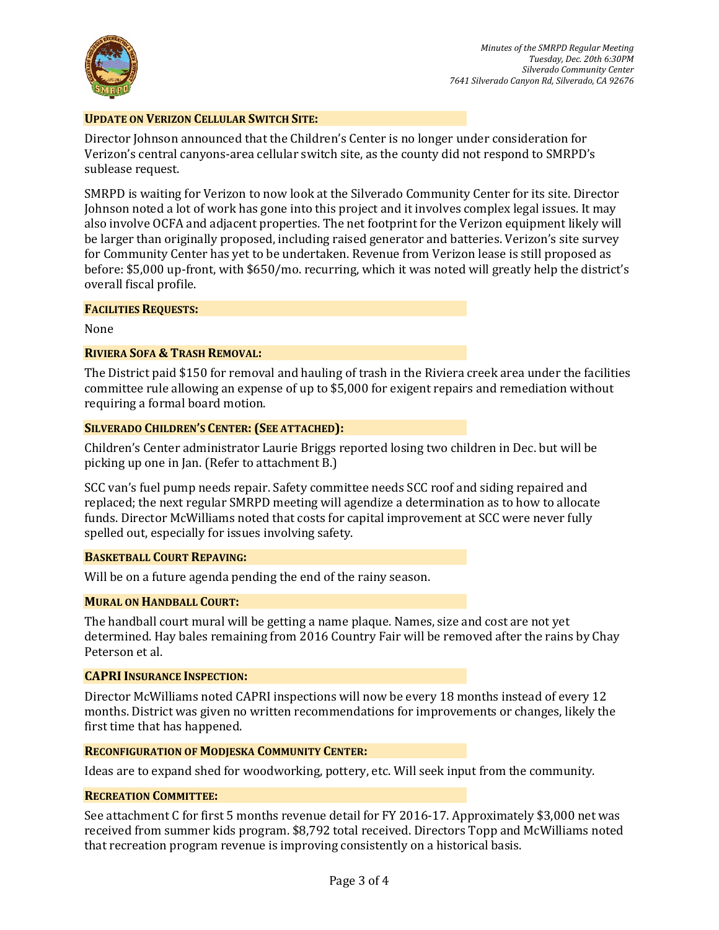

#### **UPDATE ON VERIZON CELLULAR SWITCH SITE:**

Director Johnson announced that the Children's Center is no longer under consideration for Verizon's central canyons-area cellular switch site, as the county did not respond to SMRPD's sublease request.

SMRPD is waiting for Verizon to now look at the Silverado Community Center for its site. Director Johnson noted a lot of work has gone into this project and it involves complex legal issues. It may also involve OCFA and adjacent properties. The net footprint for the Verizon equipment likely will be larger than originally proposed, including raised generator and batteries. Verizon's site survey for Community Center has yet to be undertaken. Revenue from Verizon lease is still proposed as before: \$5,000 up-front, with \$650/mo. recurring, which it was noted will greatly help the district's overall fiscal profile.

#### **FACILITIES REQUESTS:**

None

#### **RIVIERA SOFA & TRASH REMOVAL:**

The District paid \$150 for removal and hauling of trash in the Riviera creek area under the facilities committee rule allowing an expense of up to \$5,000 for exigent repairs and remediation without requiring a formal board motion.

#### **SILVERADO CHILDREN'S CENTER: (SEE ATTACHED):**

Children's Center administrator Laurie Briggs reported losing two children in Dec. but will be picking up one in Jan. (Refer to attachment B.)

SCC van's fuel pump needs repair. Safety committee needs SCC roof and siding repaired and replaced; the next regular SMRPD meeting will agendize a determination as to how to allocate funds. Director McWilliams noted that costs for capital improvement at SCC were never fully spelled out, especially for issues involving safety.

#### **BASKETBALL COURT REPAVING:**

Will be on a future agenda pending the end of the rainy season.

#### **MURAL ON HANDBALL COURT:**

The handball court mural will be getting a name plaque. Names, size and cost are not yet determined. Hay bales remaining from 2016 Country Fair will be removed after the rains by Chay Peterson et al.

#### **CAPRI INSURANCE INSPECTION:**

Director McWilliams noted CAPRI inspections will now be every 18 months instead of every 12 months. District was given no written recommendations for improvements or changes, likely the first time that has happened.

#### **RECONFIGURATION OF MODJESKA COMMUNITY CENTER:**

Ideas are to expand shed for woodworking, pottery, etc. Will seek input from the community.

#### **RECREATION COMMITTEE:**

See attachment C for first 5 months revenue detail for FY 2016-17. Approximately \$3,000 net was received from summer kids program. \$8,792 total received. Directors Topp and McWilliams noted that recreation program revenue is improving consistently on a historical basis.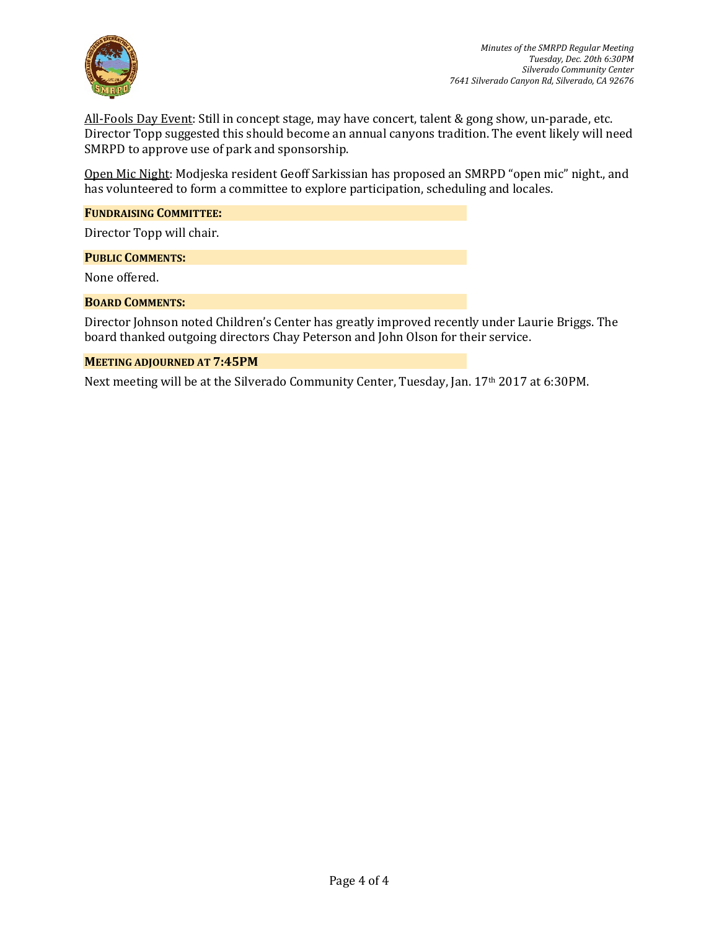

All-Fools Day Event: Still in concept stage, may have concert, talent & gong show, un-parade, etc. Director Topp suggested this should become an annual canyons tradition. The event likely will need SMRPD to approve use of park and sponsorship.

Open Mic Night: Modjeska resident Geoff Sarkissian has proposed an SMRPD "open mic" night., and has volunteered to form a committee to explore participation, scheduling and locales.

#### **FUNDRAISING COMMITTEE:**

Director Topp will chair.

#### **PUBLIC COMMENTS:**

None offered.

#### **BOARD COMMENTS:**

Director Johnson noted Children's Center has greatly improved recently under Laurie Briggs. The board thanked outgoing directors Chay Peterson and John Olson for their service.

#### **MEETING ADJOURNED AT 7:45PM**

Next meeting will be at the Silverado Community Center, Tuesday, Jan. 17th 2017 at 6:30PM.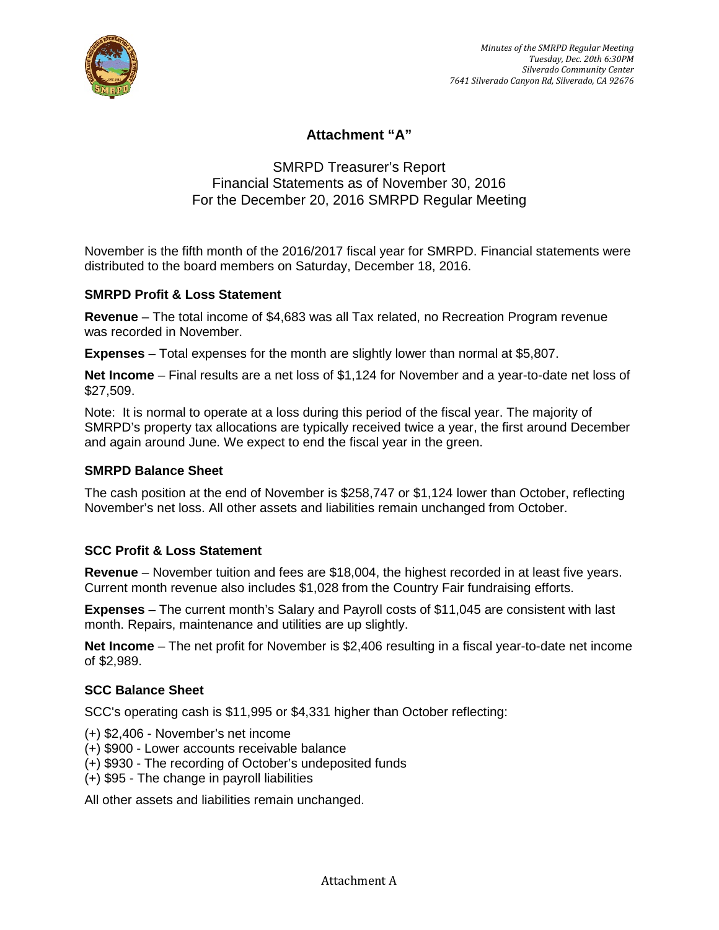

# **Attachment "A"**

# SMRPD Treasurer's Report Financial Statements as of November 30, 2016 For the December 20, 2016 SMRPD Regular Meeting

November is the fifth month of the 2016/2017 fiscal year for SMRPD. Financial statements were distributed to the board members on Saturday, December 18, 2016.

# **SMRPD Profit & Loss Statement**

**Revenue** – The total income of \$4,683 was all Tax related, no Recreation Program revenue was recorded in November.

**Expenses** – Total expenses for the month are slightly lower than normal at \$5,807.

**Net Income** – Final results are a net loss of \$1,124 for November and a year-to-date net loss of \$27,509.

Note: It is normal to operate at a loss during this period of the fiscal year. The majority of SMRPD's property tax allocations are typically received twice a year, the first around December and again around June. We expect to end the fiscal year in the green.

## **SMRPD Balance Sheet**

The cash position at the end of November is \$258,747 or \$1,124 lower than October, reflecting November's net loss. All other assets and liabilities remain unchanged from October.

## **SCC Profit & Loss Statement**

**Revenue** – November tuition and fees are \$18,004, the highest recorded in at least five years. Current month revenue also includes \$1,028 from the Country Fair fundraising efforts.

**Expenses** – The current month's Salary and Payroll costs of \$11,045 are consistent with last month. Repairs, maintenance and utilities are up slightly.

**Net Income** – The net profit for November is \$2,406 resulting in a fiscal year-to-date net income of \$2,989.

## **SCC Balance Sheet**

SCC's operating cash is \$11,995 or \$4,331 higher than October reflecting:

- (+) \$2,406 November's net income
- (+) \$900 Lower accounts receivable balance
- (+) \$930 The recording of October's undeposited funds
- (+) \$95 The change in payroll liabilities

All other assets and liabilities remain unchanged.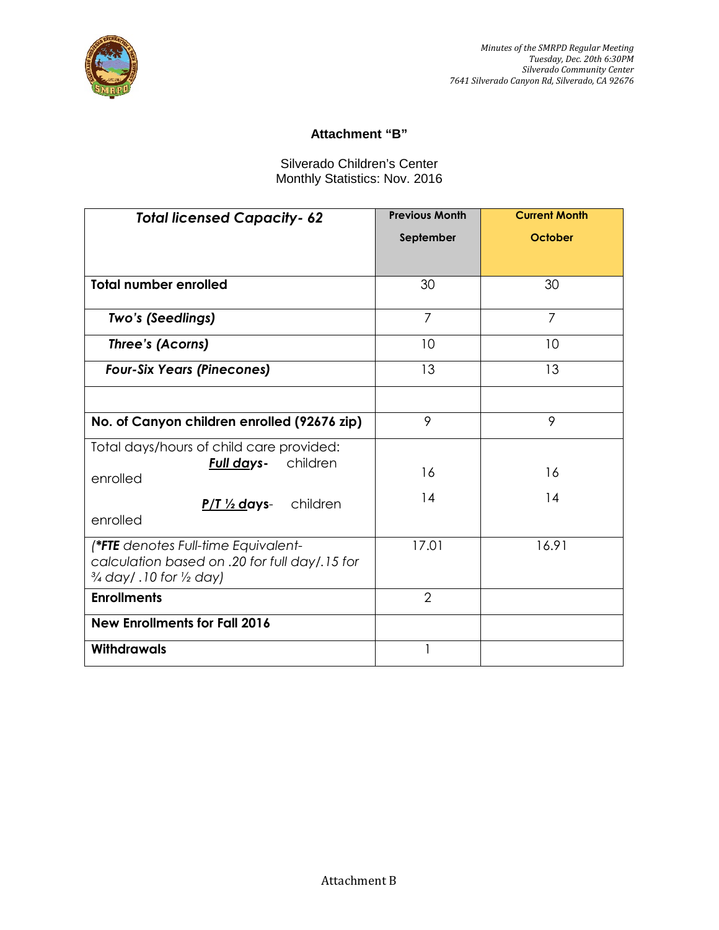

# **Attachment "B"**

# Silverado Children's Center Monthly Statistics: Nov. 2016

| <b>Total licensed Capacity-62</b>                                                                                                    | <b>Previous Month</b> | <b>Current Month</b> |  |  |  |  |
|--------------------------------------------------------------------------------------------------------------------------------------|-----------------------|----------------------|--|--|--|--|
|                                                                                                                                      | September             | October              |  |  |  |  |
|                                                                                                                                      |                       |                      |  |  |  |  |
| <b>Total number enrolled</b>                                                                                                         | 30                    | 30                   |  |  |  |  |
| Two's (Seedlings)                                                                                                                    | $\overline{7}$        | $\overline{7}$       |  |  |  |  |
| Three's (Acorns)                                                                                                                     | 10                    | 10                   |  |  |  |  |
| <b>Four-Six Years (Pinecones)</b>                                                                                                    | 13                    | 13                   |  |  |  |  |
|                                                                                                                                      |                       |                      |  |  |  |  |
| No. of Canyon children enrolled (92676 zip)                                                                                          | 9                     | 9                    |  |  |  |  |
| Total days/hours of child care provided:<br>children<br>Full days-                                                                   |                       |                      |  |  |  |  |
| enrolled                                                                                                                             | 16                    | 16                   |  |  |  |  |
| children<br>$P/T \frac{1}{2}$ days-<br>enrolled                                                                                      | 14                    | 14                   |  |  |  |  |
| (*FTE denotes Full-time Equivalent-<br>calculation based on .20 for full day/.15 for<br>$\frac{3}{4}$ day/.10 for $\frac{1}{2}$ day) | 17.01                 | 16.91                |  |  |  |  |
| <b>Enrollments</b>                                                                                                                   | $\overline{2}$        |                      |  |  |  |  |
| <b>New Enrollments for Fall 2016</b>                                                                                                 |                       |                      |  |  |  |  |
| <b>Withdrawals</b>                                                                                                                   |                       |                      |  |  |  |  |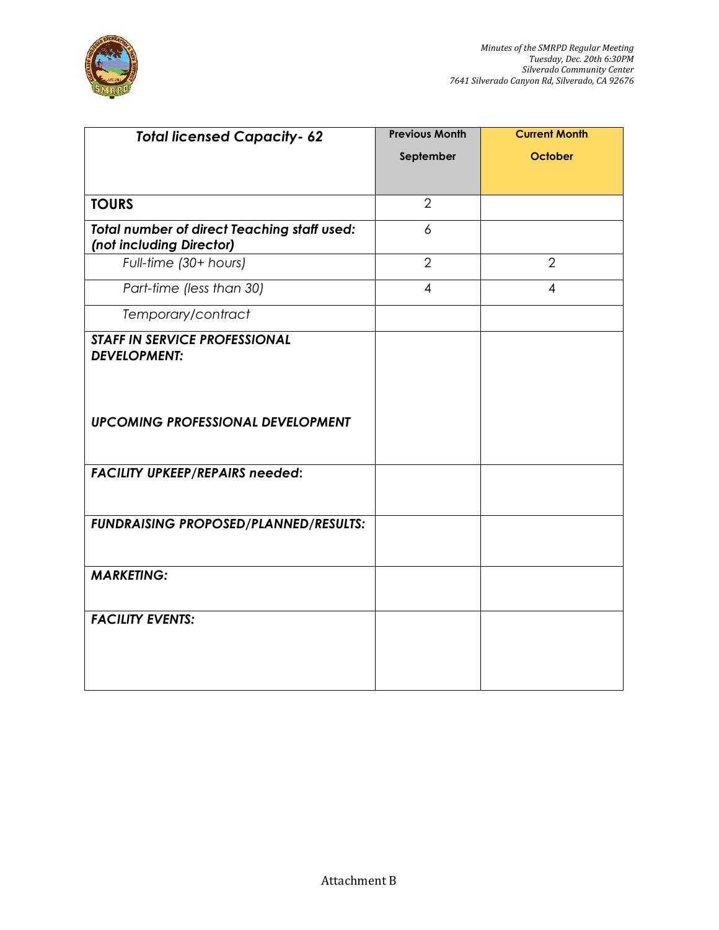

| <b>Total licensed Capacity- 62</b>                                             | <b>Previous Month</b>    | <b>Current Month</b> |  |  |  |  |  |
|--------------------------------------------------------------------------------|--------------------------|----------------------|--|--|--|--|--|
|                                                                                | September                | October              |  |  |  |  |  |
|                                                                                |                          |                      |  |  |  |  |  |
| <b>TOURS</b>                                                                   | $\overline{2}$           |                      |  |  |  |  |  |
| <b>Total number of direct Teaching staff used:</b><br>(not including Director) | 6                        |                      |  |  |  |  |  |
| Full-time (30+ hours)                                                          | $\overline{2}$           | $\overline{2}$       |  |  |  |  |  |
| Part-time (less than 30)                                                       | $\overline{\mathcal{A}}$ | 4                    |  |  |  |  |  |
| Temporary/contract                                                             |                          |                      |  |  |  |  |  |
| <b>STAFF IN SERVICE PROFESSIONAL</b><br><b>DEVELOPMENT:</b>                    |                          |                      |  |  |  |  |  |
| <b>UPCOMING PROFESSIONAL DEVELOPMENT</b>                                       |                          |                      |  |  |  |  |  |
| <b>FACILITY UPKEEP/REPAIRS needed:</b>                                         |                          |                      |  |  |  |  |  |
| FUNDRAISING PROPOSED/PLANNED/RESULTS:                                          |                          |                      |  |  |  |  |  |
| <b>MARKETING:</b>                                                              |                          |                      |  |  |  |  |  |
| <b>FACILITY EVENTS:</b>                                                        |                          |                      |  |  |  |  |  |